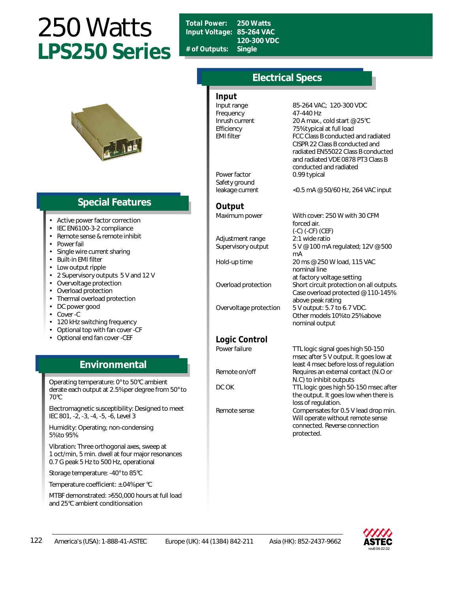# 250 Watts **LPS250 Series**



## **Special Features**

- Active power factor correction
- IEC EN6100-3-2 compliance
- Remote sense & remote inhibit
- Power fail
- Single wire current sharing
- Built-in EMI filter
- Low output ripple
- 2 Supervisory outputs 5 V and 12 V
- Overvoltage protection
- Overload protection
- Thermal overload protection
- DC power good
- Cover -C
- 120 kHz switching frequency
- Optional top with fan cover -CF
- Optional end fan cover -CEF

## **Environmental**

Operating temperature: 0° to 50°C ambient derate each output at 2.5% per degree from 50° to 70°C

Electromagnetic susceptibility: Designed to meet IEC 801, -2, -3, -4, -5, -6, Level 3

Humidity: Operating; non-condensing 5% to 95%

Vibration: Three orthogonal axes, sweep at 1 oct/min, 5 min. dwell at four major resonances 0.7 G peak 5 Hz to 500 Hz, operational

Storage temperature: -40° to 85°C

Temperature coefficient: ±.04% per °C

MTBF demonstrated: >550,000 hours at full load and 25°C ambient conditionsation

*Total Power:* **250 Watts** *Input Voltage:* **85-264 VAC 120-300 VDC** *# of Outputs:* **Single**

## **Electrical Specs**

#### *Input*

Frequency 47-440 Hz

Power factor 0.99 typical Safety ground

*Output*

Adjustment range 2:1 wide ratio

### *Logic Control*

Input range 85-264 VAC; 120-300 VDC Inrush current 20 A max., cold start @ 25°C Efficiency 75% typical at full load EMI filter FCC Class B conducted and radiated CISPR 22 Class B conducted and radiated EN55022 Class B conducted and radiated VDE 0878 PT3 Class B conducted and radiated

leakage current <0.5 mA @ 50/60 Hz, 264 VAC input

Maximum power With cover: 250 W with 30 CFM forced air. (-C) (-CF) (CEF) Supervisory output 5 V @ 100 mA regulated; 12V @ 500 mA Hold-up time 20 ms @ 250 W load, 115 VAC nominal line at factory voltage setting Overload protection Short circuit protection on all outputs. Case overload protected @ 110-145% above peak rating Overvoltage protection 5 V output: 5.7 to 6.7 VDC. Other models 10% to 25% above nominal output

Power failure TTL logic signal goes high 50-150 msec after 5 V output. It goes low at least 4 msec before loss of regulation Remote on/off Requires an external contact (N.O or N.C) to inhibit outputs DC OK TTL logic goes high 50-150 msec after the output. It goes low when there is loss of regulation. Remote sense Compensates for 0.5 V lead drop min. Will operate without remote sense connected. Reverse connection protected.